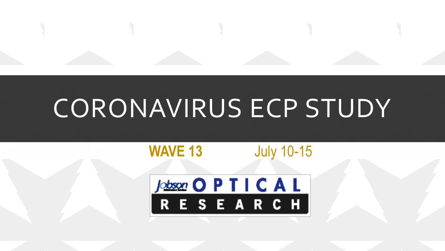

# CORONAVIRUS ECP STUDY

#### **WAVE 13** July 10-15

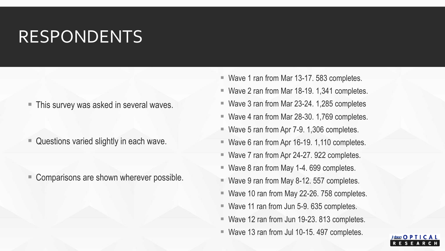### RESPONDENTS

■ This survey was asked in several waves.

■ Questions varied slightly in each wave.

■ Comparisons are shown wherever possible.

- Wave 1 ran from Mar 13-17. 583 completes.
- Wave 2 ran from Mar 18-19. 1,341 completes.
- Wave 3 ran from Mar 23-24. 1,285 completes
- Wave 4 ran from Mar 28-30. 1,769 completes.
- Wave 5 ran from Apr 7-9. 1,306 completes.
- Wave 6 ran from Apr 16-19. 1,110 completes.
- Wave 7 ran from Apr 24-27. 922 completes.
- Wave 8 ran from May 1-4. 699 completes.
- $\blacksquare$  Wave 9 ran from May 8-12. 557 completes.
- Wave 10 ran from May 22-26. 758 completes.
- Wave 11 ran from Jun 5-9. 635 completes.
- Wave 12 ran from Jun 19-23. 813 completes.
- Wave 13 ran from Jul 10-15. 497 completes.

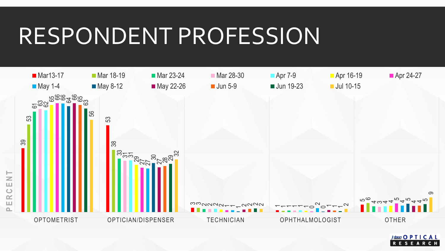## RESPONDENT PROFESSION



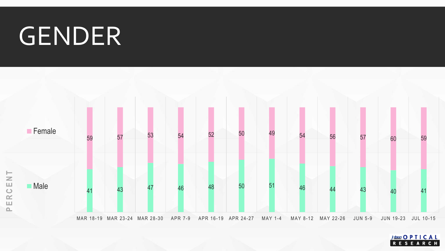# GENDER



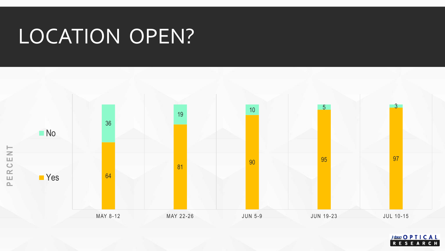## LOCATION OPEN?



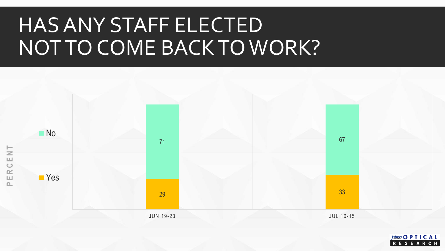## HAS ANY STAFF ELECTED NOT TO COME BACK TO WORK?



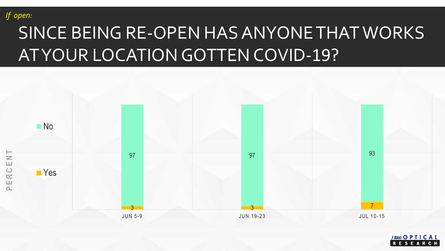

## SINCE BEING RE-OPEN HAS ANYONE THAT WORKS AT YOUR LOCATION GOTTEN COVID-19?



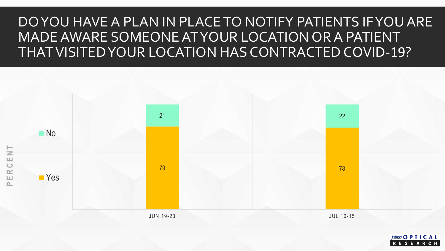#### DO YOU HAVE A PLAN IN PLACE TO NOTIFY PATIENTS IF YOU ARE MADE AWARE SOMEONE AT YOUR LOCATION OR A PATIENT THAT VISITED YOUR LOCATION HAS CONTRACTED COVID-19?



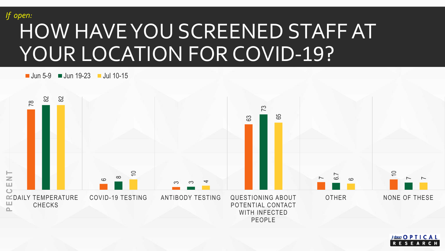#### HOW HAVE YOU SCREENED STAFF AT YOUR LOCATION FOR COVID-19? *If open:*

 $\blacksquare$  Jun 5-9  $\blacksquare$  Jun 19-23  $\blacksquare$  Jul 10-15



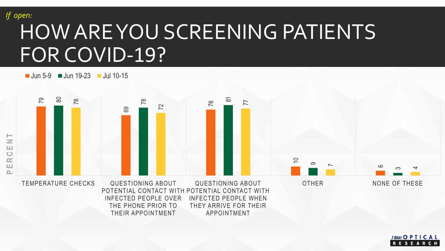*If open:*

## HOW ARE YOU SCREENING PATIENTS FOR COVID-19?

THEIR APPOINTMENT

 $\blacksquare$  Jun 5-9  $\blacksquare$  Jun 19-23  $\blacksquare$  Jul 10-15



APPOINTMENT

 $f<sub>obson</sub>$  O P T I C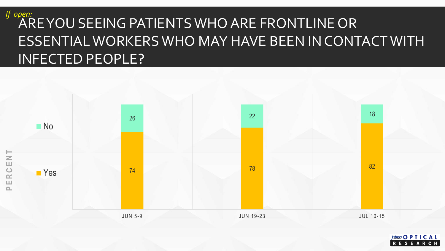#### ARE YOU SEEING PATIENTS WHO ARE FRONTLINE OR ESSENTIAL WORKERS WHO MAY HAVE BEEN IN CONTACT WITH INFECTED PEOPLE? *If open:*



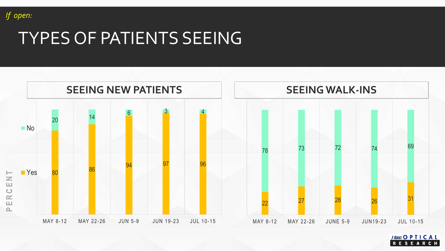

### TYPES OF PATIENTS SEEING



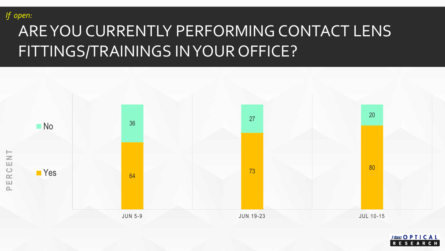

### ARE YOU CURRENTLY PERFORMING CONTACT LENS FITTINGS/TRAININGS IN YOUR OFFICE?



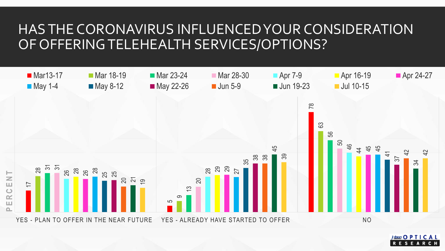#### HAS THE CORONAVIRUS INFLUENCED YOUR CONSIDERATION OF OFFERINGTELEHEALTH SERVICES/OPTIONS?



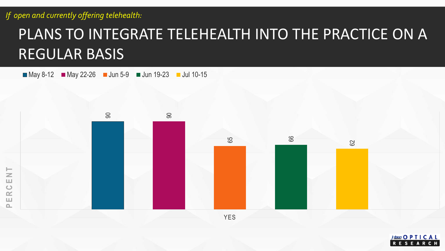**P E R C E N T**

### PLANS TO INTEGRATE TELEHEALTH INTO THE PRACTICE ON A REGULAR BASIS

 $May 8-12$  May 22-26 Jun 5-9 Jun 19-23 Jul 10-15



YES

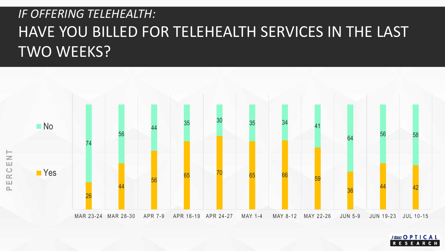#### *IF OFFERING TELEHEALTH:* HAVE YOU BILLED FOR TELEHEALTH SERVICES IN THE LAST TWO WEEKS?



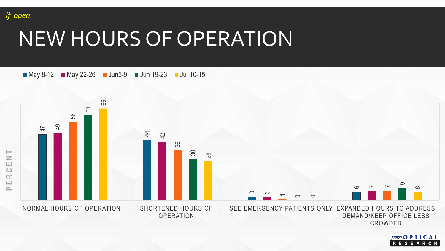

## NEW HOURS OF OPERATION



Jobson O P T I C A L RESEA R  $C$  H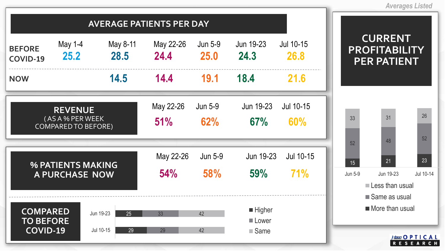

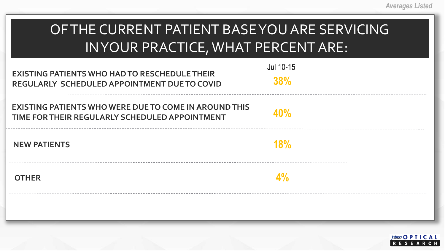| OF THE CURRENT PATIENT BASE YOU ARE SERVICING |
|-----------------------------------------------|
| IN YOUR PRACTICE, WHAT PERCENT ARE: 1         |

| <b>EXISTING PATIENTS WHO HAD TO RESCHEDULE THEIR</b><br><b>REGULARLY SCHEDULED APPOINTMENT DUE TO COVID</b> | Jul 10-15<br>38%            |
|-------------------------------------------------------------------------------------------------------------|-----------------------------|
| EXISTING PATIENTS WHO WERE DUE TO COME IN AROUND THIS<br>TIME FOR THEIR REGULARLY SCHEDULED APPOINTMENT     | 40%                         |
| <b>NEW PATIENTS</b>                                                                                         | <b>18%</b>                  |
| <b>OTHER</b>                                                                                                | $\Lambda^{0}/_{\!\!\alpha}$ |
|                                                                                                             |                             |

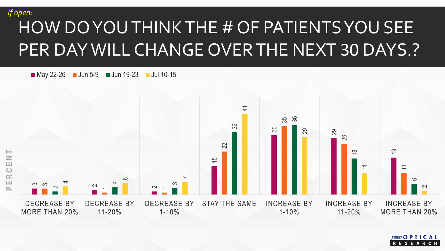#### *If open:*

## HOW DO YOU THINK THE # OF PATIENTS YOU SEE PER DAY WILL CHANGE OVER THE NEXT 30 DAYS.?

 $\blacksquare$  May 22-26  $\blacksquare$  Jun 5-9  $\blacksquare$  Jun 19-23  $\blacksquare$  Jul 10-15



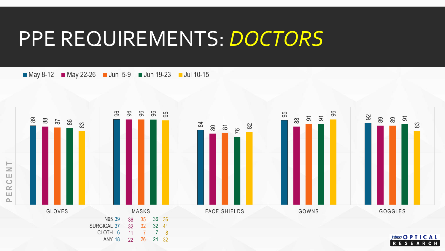## PPE REQUIREMENTS: *DOCTORS*

 $May 8-12$  May 22-26 Jun 5-9 Jun 19-23 Jul 10-15

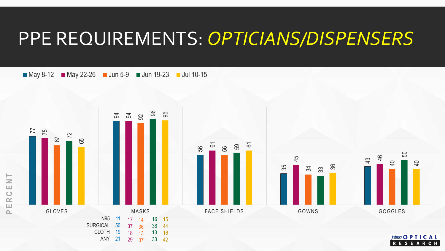### PPE REQUIREMENTS: *OPTICIANS/DISPENSERS*

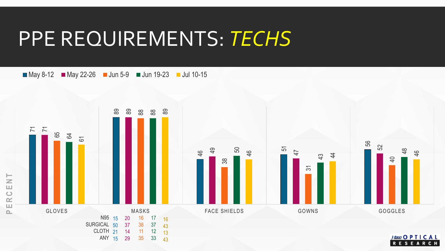## PPE REQUIREMENTS: *TECHS*

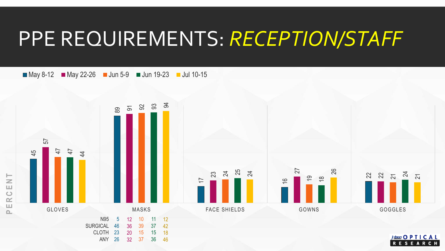## PPE REQUIREMENTS: *RECEPTION/STAFF*

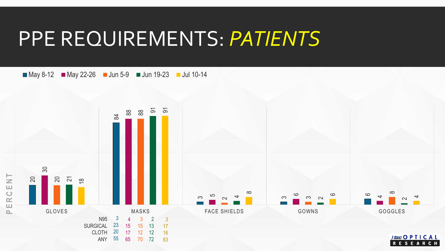## PPE REQUIREMENTS: *PATIENTS*

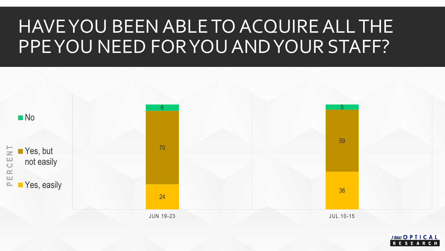### HAVE YOU BEEN ABLE TO ACQUIRE ALL THE PPE YOU NEED FOR YOU AND YOUR STAFF?



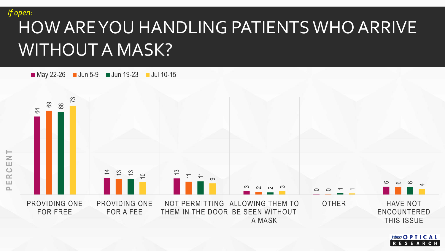

### HOW ARE YOU HANDLING PATIENTS WHO ARRIVE WITHOUT A MASK?

 $\blacksquare$  May 22-26  $\blacksquare$  Jun 5-9  $\blacksquare$  Jun 19-23  $\blacksquare$  Jul 10-15



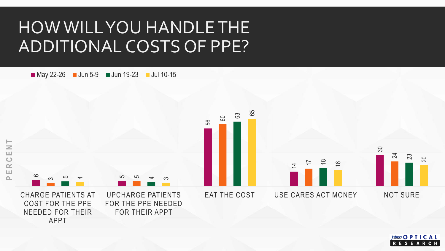### HOW WILL YOU HANDLE THE ADDITIONAL COSTS OF PPE?

May 22-26 Jun 5-9 Jun 19-23 Jul 10-15



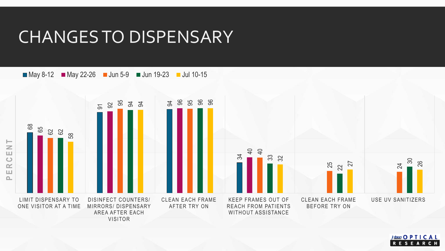#### CHANGES TO DISPENSARY



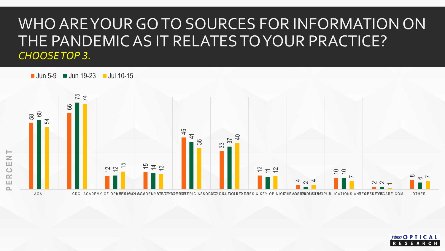#### WHO ARE YOUR GO TO SOURCES FOR INFORMATION ON THE PANDEMIC AS IT RELATES TO YOUR PRACTICE? *CHOOSE TOP 3.*

 $\blacksquare$  Jun 5-9  $\blacksquare$  Jun 19-23  $\blacksquare$  Jul 10-15



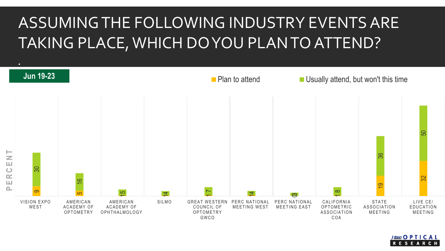### ASSUMING THE FOLLOWING INDUSTRY EVENTS ARE TAKING PLACE, WHICH DO YOU PLAN TO ATTEND?



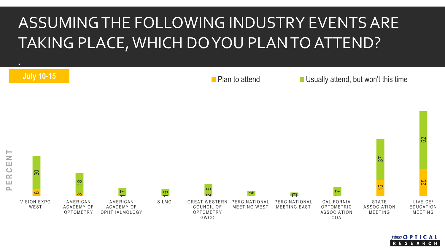### ASSUMING THE FOLLOWING INDUSTRY EVENTS ARE TAKING PLACE, WHICH DO YOU PLAN TO ATTEND?



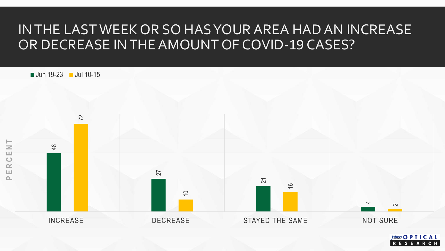#### IN THE LAST WEEK OR SO HAS YOUR AREA HAD AN INCREASE OR DECREASE IN THE AMOUNT OF COVID-19 CASES?



 $pbson$  O P T I C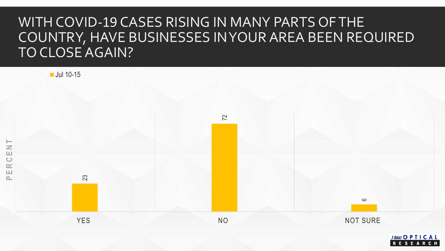#### WITH COVID-19 CASES RISING IN MANY PARTS OF THE COUNTRY, HAVE BUSINESSES IN YOUR AREA BEEN REQUIRED TO CLOSE AGAIN?

**Jul 10-15** 



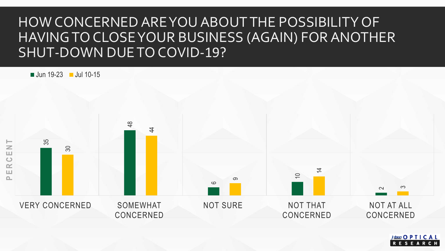#### HOW CONCERNED ARE YOU ABOUT THE POSSIBILITY OF HAVING TO CLOSE YOUR BUSINESS (AGAIN) FOR ANOTHER SHUT-DOWN DUE TO COVID-19?